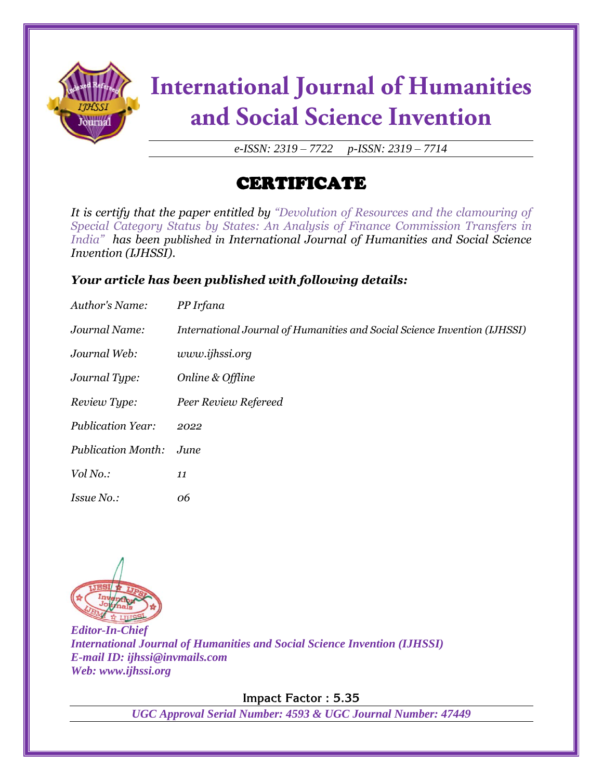

# **International Journal of Humanities** and Social Science Invention

*e-ISSN: 2319 – 7722 p-ISSN: 2319 – 7714*

## CERTIFICATE

*It is certify that the paper entitled by "Devolution of Resources and the clamouring of Special Category Status by States: An Analysis of Finance Commission Transfers in India" has been published in International Journal of Humanities and Social Science Invention (IJHSSI).*

### *Your article has been published with following details:*

| Author's Name:            | PP Irfana                                                                 |
|---------------------------|---------------------------------------------------------------------------|
| Journal Name:             | International Journal of Humanities and Social Science Invention (IJHSSI) |
| Journal Web:              | www.ijhssi.org                                                            |
| Journal Type:             | Online & Offline                                                          |
| Review Type:              | Peer Review Refereed                                                      |
| <b>Publication Year:</b>  | 2022                                                                      |
| <b>Publication Month:</b> | June                                                                      |
| Vol No.:                  | 11                                                                        |
| <i>Issue No.:</i>         | 06                                                                        |



*Editor-In-Chief International Journal of Humanities and Social Science Invention (IJHSSI) E-mail ID: ijhssi@invmails.com Web: www.ijhssi.org*

**Impact Factor : 5.35**

*UGC Approval Serial Number: 4593 & UGC Journal Number: 47449*